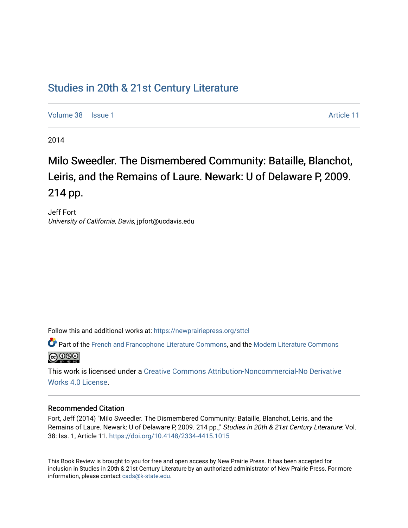## [Studies in 20th & 21st Century Literature](https://newprairiepress.org/sttcl)

[Volume 38](https://newprairiepress.org/sttcl/vol38) | [Issue 1](https://newprairiepress.org/sttcl/vol38/iss1) Article 11

2014

# Milo Sweedler. The Dismembered Community: Bataille, Blanchot, Leiris, and the Remains of Laure. Newark: U of Delaware P, 2009. 214 pp.

Jeff Fort University of California, Davis, jpfort@ucdavis.edu

Follow this and additional works at: [https://newprairiepress.org/sttcl](https://newprairiepress.org/sttcl?utm_source=newprairiepress.org%2Fsttcl%2Fvol38%2Fiss1%2F11&utm_medium=PDF&utm_campaign=PDFCoverPages) 

Part of the [French and Francophone Literature Commons,](http://network.bepress.com/hgg/discipline/465?utm_source=newprairiepress.org%2Fsttcl%2Fvol38%2Fiss1%2F11&utm_medium=PDF&utm_campaign=PDFCoverPages) and the [Modern Literature Commons](http://network.bepress.com/hgg/discipline/1050?utm_source=newprairiepress.org%2Fsttcl%2Fvol38%2Fiss1%2F11&utm_medium=PDF&utm_campaign=PDFCoverPages) <u>@ 000</u>

This work is licensed under a [Creative Commons Attribution-Noncommercial-No Derivative](https://creativecommons.org/licenses/by-nc-nd/4.0/)  [Works 4.0 License](https://creativecommons.org/licenses/by-nc-nd/4.0/).

#### Recommended Citation

Fort, Jeff (2014) "Milo Sweedler. The Dismembered Community: Bataille, Blanchot, Leiris, and the Remains of Laure. Newark: U of Delaware P, 2009. 214 pp.," Studies in 20th & 21st Century Literature: Vol. 38: Iss. 1, Article 11. <https://doi.org/10.4148/2334-4415.1015>

This Book Review is brought to you for free and open access by New Prairie Press. It has been accepted for inclusion in Studies in 20th & 21st Century Literature by an authorized administrator of New Prairie Press. For more information, please contact [cads@k-state.edu](mailto:cads@k-state.edu).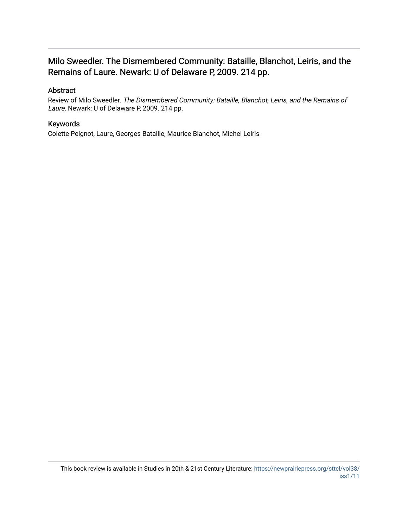### Milo Sweedler. The Dismembered Community: Bataille, Blanchot, Leiris, and the Remains of Laure. Newark: U of Delaware P, 2009. 214 pp.

### Abstract

Review of Milo Sweedler. The Dismembered Community: Bataille, Blanchot, Leiris, and the Remains of Laure. Newark: U of Delaware P, 2009. 214 pp.

### Keywords

Colette Peignot, Laure, Georges Bataille, Maurice Blanchot, Michel Leiris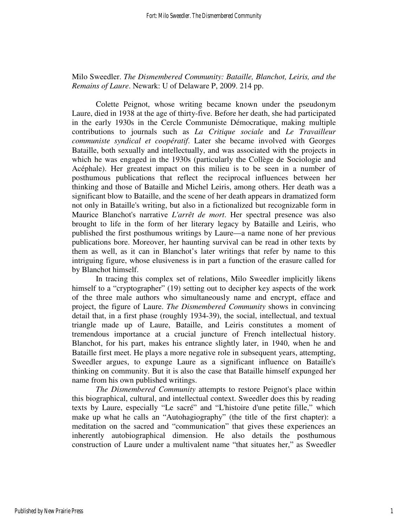### Milo Sweedler. *The Dismembered Community: Bataille, Blanchot, Leiris, and the Remains of Laure*. Newark: U of Delaware P, 2009. 214 pp.

Colette Peignot, whose writing became known under the pseudonym Laure, died in 1938 at the age of thirty-five. Before her death, she had participated in the early 1930s in the Cercle Communiste Démocratique, making multiple contributions to journals such as *La Critique sociale* and *Le Travailleur communiste syndical et coopératif*. Later she became involved with Georges Bataille, both sexually and intellectually, and was associated with the projects in which he was engaged in the 1930s (particularly the Collège de Sociologie and Acéphale). Her greatest impact on this milieu is to be seen in a number of posthumous publications that reflect the reciprocal influences between her thinking and those of Bataille and Michel Leiris, among others. Her death was a significant blow to Bataille, and the scene of her death appears in dramatized form not only in Bataille's writing, but also in a fictionalized but recognizable form in Maurice Blanchot's narrative *L'arrêt de mort*. Her spectral presence was also brought to life in the form of her literary legacy by Bataille and Leiris, who published the first posthumous writings by Laure—a name none of her previous publications bore. Moreover, her haunting survival can be read in other texts by them as well, as it can in Blanchot's later writings that refer by name to this intriguing figure, whose elusiveness is in part a function of the erasure called for by Blanchot himself.

 In tracing this complex set of relations, Milo Sweedler implicitly likens himself to a "cryptographer" (19) setting out to decipher key aspects of the work of the three male authors who simultaneously name and encrypt, efface and project, the figure of Laure. *The Dismembered Community* shows in convincing detail that, in a first phase (roughly 1934-39), the social, intellectual, and textual triangle made up of Laure, Bataille, and Leiris constitutes a moment of tremendous importance at a crucial juncture of French intellectual history. Blanchot, for his part, makes his entrance slightly later, in 1940, when he and Bataille first meet. He plays a more negative role in subsequent years, attempting, Sweedler argues, to expunge Laure as a significant influence on Bataille's thinking on community. But it is also the case that Bataille himself expunged her name from his own published writings.

*The Dismembered Community* attempts to restore Peignot's place within this biographical, cultural, and intellectual context. Sweedler does this by reading texts by Laure, especially "Le sacré" and "L'histoire d'une petite fille," which make up what he calls an "Autohagiography" (the title of the first chapter): a meditation on the sacred and "communication" that gives these experiences an inherently autobiographical dimension. He also details the posthumous construction of Laure under a multivalent name "that situates her," as Sweedler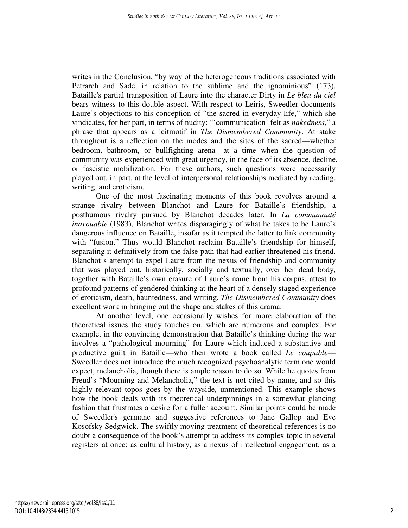writes in the Conclusion, "by way of the heterogeneous traditions associated with Petrarch and Sade, in relation to the sublime and the ignominious" (173). Bataille's partial transposition of Laure into the character Dirty in *Le bleu du ciel* bears witness to this double aspect. With respect to Leiris, Sweedler documents Laure's objections to his conception of "the sacred in everyday life," which she vindicates, for her part, in terms of nudity: "'communication' felt as *nakedness*," a phrase that appears as a leitmotif in *The Dismembered Community*. At stake throughout is a reflection on the modes and the sites of the sacred—whether bedroom, bathroom, or bullfighting arena—at a time when the question of community was experienced with great urgency, in the face of its absence, decline, or fascistic mobilization. For these authors, such questions were necessarily played out, in part, at the level of interpersonal relationships mediated by reading, writing, and eroticism.

 One of the most fascinating moments of this book revolves around a strange rivalry between Blanchot and Laure for Bataille's friendship, a posthumous rivalry pursued by Blanchot decades later. In *La communauté inavouable* (1983), Blanchot writes disparagingly of what he takes to be Laure's dangerous influence on Bataille, insofar as it tempted the latter to link community with "fusion." Thus would Blanchot reclaim Bataille's friendship for himself, separating it definitively from the false path that had earlier threatened his friend. Blanchot's attempt to expel Laure from the nexus of friendship and community that was played out, historically, socially and textually, over her dead body, together with Bataille's own erasure of Laure's name from his corpus, attest to profound patterns of gendered thinking at the heart of a densely staged experience of eroticism, death, hauntedness, and writing. *The Dismembered Community* does excellent work in bringing out the shape and stakes of this drama.

 At another level, one occasionally wishes for more elaboration of the theoretical issues the study touches on, which are numerous and complex. For example, in the convincing demonstration that Bataille's thinking during the war involves a "pathological mourning" for Laure which induced a substantive and productive guilt in Bataille—who then wrote a book called *Le coupable*— Sweedler does not introduce the much recognized psychoanalytic term one would expect, melancholia, though there is ample reason to do so. While he quotes from Freud's "Mourning and Melancholia," the text is not cited by name, and so this highly relevant topos goes by the wayside, unmentioned. This example shows how the book deals with its theoretical underpinnings in a somewhat glancing fashion that frustrates a desire for a fuller account. Similar points could be made of Sweedler's germane and suggestive references to Jane Gallop and Eve Kosofsky Sedgwick. The swiftly moving treatment of theoretical references is no doubt a consequence of the book's attempt to address its complex topic in several registers at once: as cultural history, as a nexus of intellectual engagement, as a